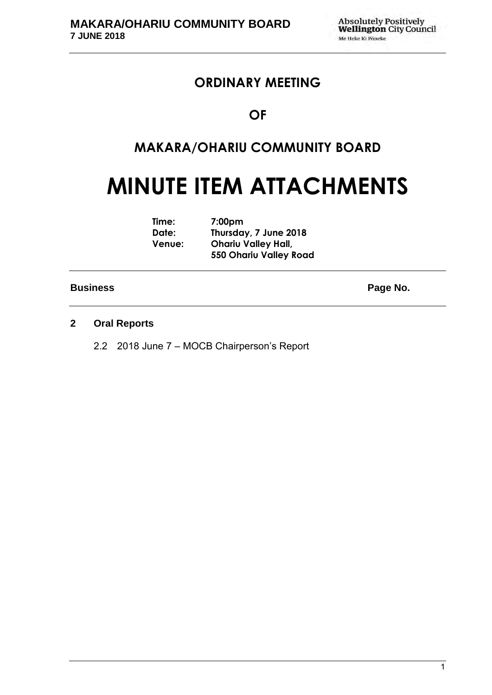## **ORDINARY MEETING**

### **OF**

## **MAKARA/OHARIU COMMUNITY BOARD**

# **MINUTE ITEM ATTACHMENTS**

| Time:         | 7:00 <sub>pm</sub>            |
|---------------|-------------------------------|
| Date:         | Thursday, 7 June 2018         |
| <b>Venue:</b> | <b>Ohariu Valley Hall,</b>    |
|               | <b>550 Ohariu Valley Road</b> |

#### **Business** Page No.

### **2 Oral Reports**

2.2 2018 June 7 – MOCB Chairperson's Report